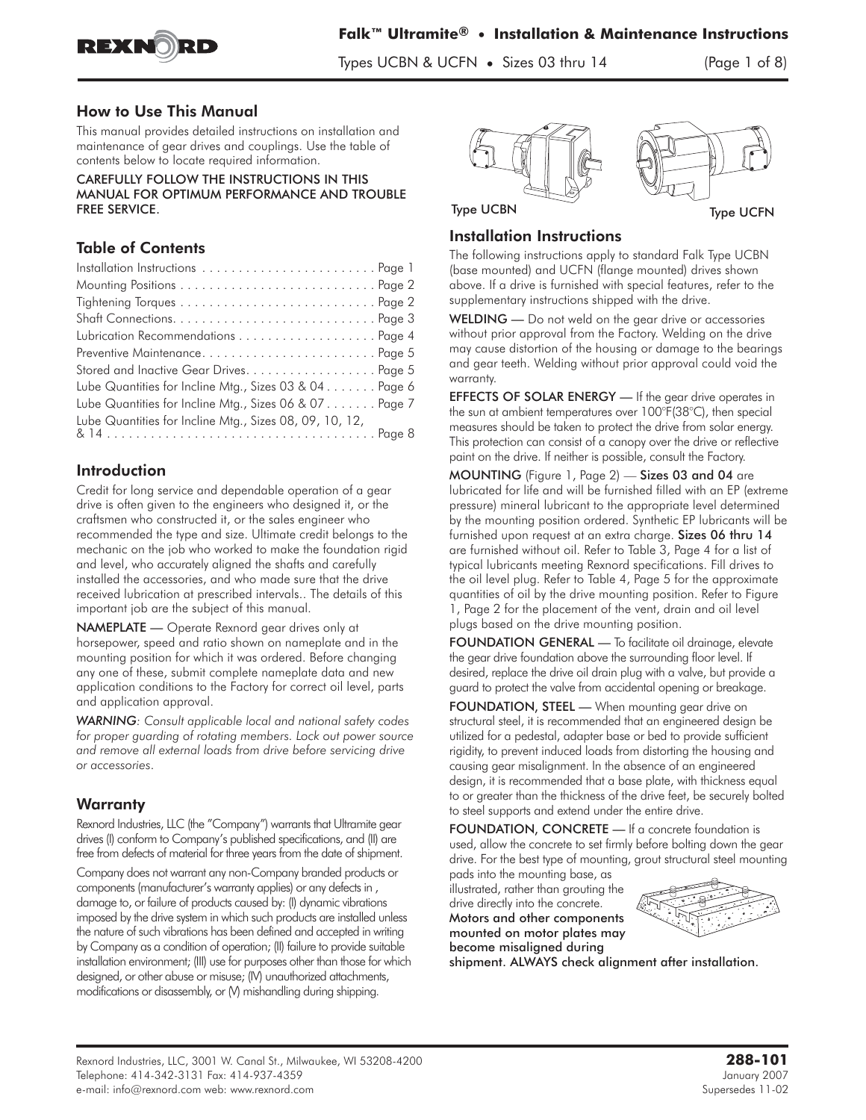

#### How to Use This Manual

This manual provides detailed instructions on installation and maintenance of gear drives and couplings. Use the table of contents below to locate required information.

CAREFULLY FOLLOW THE INSTRUCTIONS IN THIS MANUAL FOR OPTIMUM PERFORMANCE AND TROUBLE FREE SERVICE.

# Table of Contents

| Stored and Inactive Gear Drives. Page 5                 |
|---------------------------------------------------------|
| Lube Quantities for Incline Mtg., Sizes 03 & 04 Page 6  |
| Lube Quantities for Incline Mtg., Sizes 06 & 07 Page 7  |
| Lube Quantities for Incline Mtg., Sizes 08, 09, 10, 12, |
|                                                         |

# Introduction

Credit for long service and dependable operation of a gear drive is often given to the engineers who designed it, or the craftsmen who constructed it, or the sales engineer who recommended the type and size. Ultimate credit belongs to the mechanic on the job who worked to make the foundation rigid and level, who accurately aligned the shafts and carefully installed the accessories, and who made sure that the drive received lubrication at prescribed intervals.. The details of this important job are the subject of this manual.

NAMEPLATE - Operate Rexnord gear drives only at horsepower, speed and ratio shown on nameplate and in the mounting position for which it was ordered. Before changing any one of these, submit complete nameplate data and new application conditions to the Factory for correct oil level, parts and application approval.

*WARNING: Consult applicable local and national safety codes for proper guarding of rotating members. Lock out power source and remove all external loads from drive before servicing drive or accessories*.

# **Warranty**

Rexnord Industries, LLC (the "Company") warrants that Ultramite gear drives (I) conform to Company's published specifications, and (II) are free from defects of material for three years from the date of shipment.

Company does not warrant any non-Company branded products or components (manufacturer's warranty applies) or any defects in , damage to, or failure of products caused by: (I) dynamic vibrations imposed by the drive system in which such products are installed unless the nature of such vibrations has been defined and accepted in writing by Company as a condition of operation; (II) failure to provide suitable installation environment; (III) use for purposes other than those for which designed, or other abuse or misuse; (IV) unauthorized attachments, modifications or disassembly, or (V) mishandling during shipping.



## Installation Instructions

The following instructions apply to standard Falk Type UCBN (base mounted) and UCFN (flange mounted) drives shown above. If a drive is furnished with special features, refer to the supplementary instructions shipped with the drive.

WELDING — Do not weld on the gear drive or accessories without prior approval from the Factory. Welding on the drive may cause distortion of the housing or damage to the bearings and gear teeth. Welding without prior approval could void the warranty.

EFFECTS OF SOLAR ENERGY - If the gear drive operates in the sun at ambient temperatures over 100°F(38°C), then special measures should be taken to protect the drive from solar energy. This protection can consist of a canopy over the drive or reflective paint on the drive. If neither is possible, consult the Factory.

MOUNTING (Figure 1, Page 2) — Sizes 03 and 04 are lubricated for life and will be furnished filled with an EP (extreme pressure) mineral lubricant to the appropriate level determined by the mounting position ordered. Synthetic EP lubricants will be furnished upon request at an extra charge. Sizes 06 thru 14 are furnished without oil. Refer to Table 3, Page 4 for a list of typical lubricants meeting Rexnord specifications. Fill drives to the oil level plug. Refer to Table 4, Page 5 for the approximate quantities of oil by the drive mounting position. Refer to Figure 1, Page 2 for the placement of the vent, drain and oil level plugs based on the drive mounting position.

FOUNDATION GENERAL *—* To facilitate oil drainage, elevate the gear drive foundation above the surrounding floor level. If desired, replace the drive oil drain plug with a valve, but provide a guard to protect the valve from accidental opening or breakage.

FOUNDATION, STEEL - When mounting gear drive on structural steel, it is recommended that an engineered design be utilized for a pedestal, adapter base or bed to provide sufficient rigidity, to prevent induced loads from distorting the housing and causing gear misalignment. In the absence of an engineered design, it is recommended that a base plate, with thickness equal to or greater than the thickness of the drive feet, be securely bolted to steel supports and extend under the entire drive.

FOUNDATION, CONCRETE - If a concrete foundation is used, allow the concrete to set firmly before bolting down the gear drive. For the best type of mounting, grout structural steel mounting

pads into the mounting base, as illustrated, rather than grouting the drive directly into the concrete. Motors and other components mounted on motor plates may become misaligned during



shipment. ALWAYS check alignment after installation.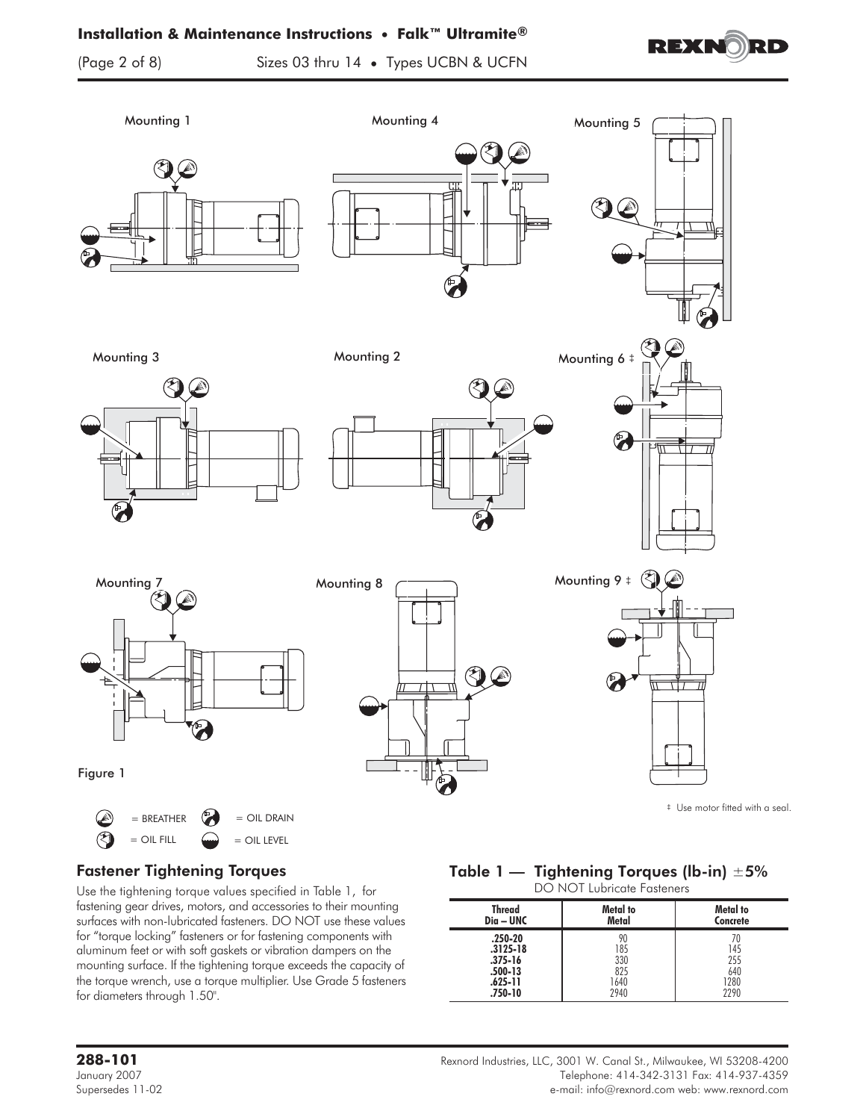#### **Installation & Maintenance Instructions • Falk™ Ultramite®**



(Page 2 of 8) Sizes 03 thru 14 **•** Types UCBN & UCFN





# Fastener Tightening Torques

Use the tightening torque values specified in Table 1, for fastening gear drives, motors, and accessories to their mounting surfaces with non-lubricated fasteners. DO NOT use these values for "torque locking" fasteners or for fastening components with aluminum feet or with soft gaskets or vibration dampers on the mounting surface. If the tightening torque exceeds the capacity of the torque wrench, use a torque multiplier. Use Grade 5 fasteners for diameters through 1.50".

# Table 1 — Tightening Torques (lb-in)  $\pm 5\%$

DO NOT Lubricate Fasteners

| <b>Thread</b>                                                               | Metal to                                | Metal to                          |
|-----------------------------------------------------------------------------|-----------------------------------------|-----------------------------------|
| Dia – UNC                                                                   | Metal                                   | Concrete                          |
| $.250 - 20$<br>$.3125 - 18$<br>$.375 - 16$<br>.500-13<br>.625-11<br>.750-10 | 90<br>185<br>330<br>825<br>1640<br>2940 | 145<br>255<br>640<br>1280<br>2290 |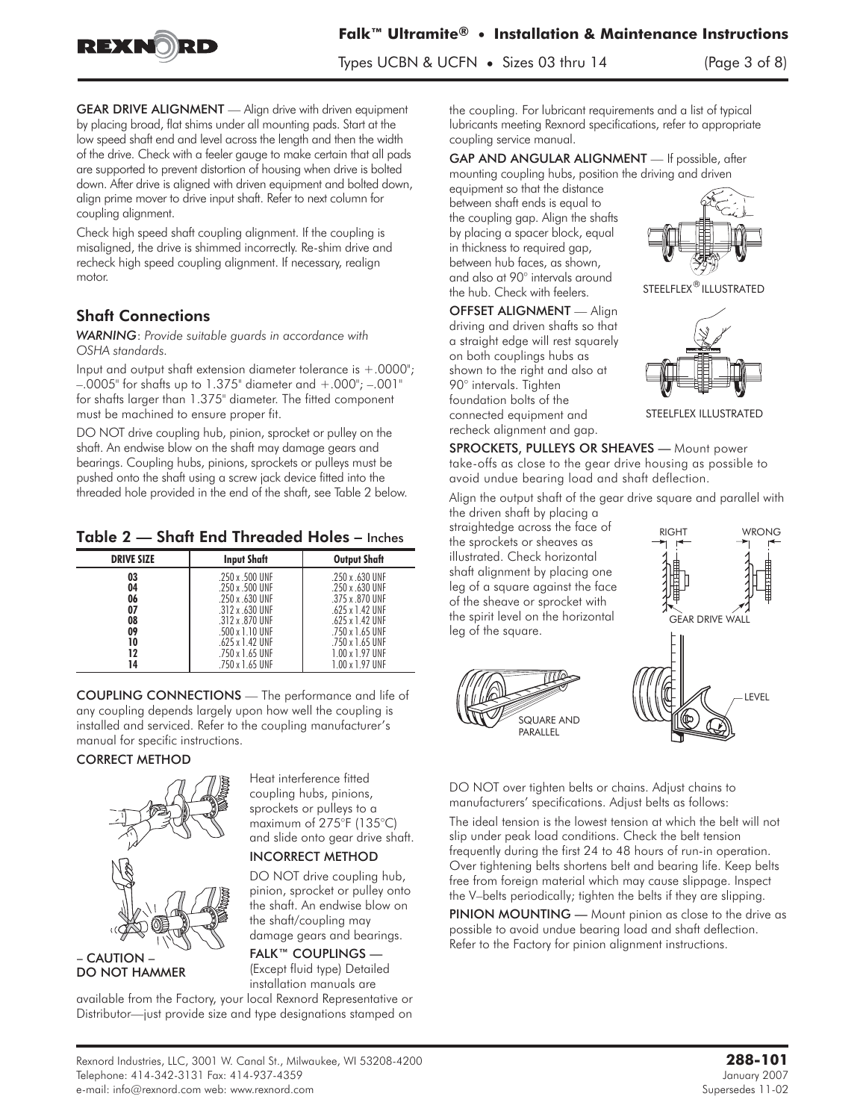

GEAR DRIVE ALIGNMENT - Align drive with driven equipment by placing broad, flat shims under all mounting pads. Start at the low speed shaft end and level across the length and then the width of the drive. Check with a feeler gauge to make certain that all pads are supported to prevent distortion of housing when drive is bolted down. After drive is aligned with driven equipment and bolted down, align prime mover to drive input shaft. Refer to next column for coupling alignment.

Check high speed shaft coupling alignment. If the coupling is misaligned, the drive is shimmed incorrectly. Re-shim drive and recheck high speed coupling alignment. If necessary, realign motor.

## Shaft Connections

*WARNING*: *Provide suitable guards in accordance with OSHA standards.*

Input and output shaft extension diameter tolerance is  $+.0000$ ";  $-0.0005$ " for shafts up to 1.375" diameter and  $+0.000$ ";  $-0.001$ " for shafts larger than 1.375" diameter. The fitted component must be machined to ensure proper fit.

DO NOT drive coupling hub, pinion, sprocket or pulley on the shaft. An endwise blow on the shaft may damage gears and bearings. Coupling hubs, pinions, sprockets or pulleys must be pushed onto the shaft using a screw jack device fitted into the threaded hole provided in the end of the shaft, see Table 2 below.

Table 2 — Shaft End Threaded Holes – Inches

| <b>DRIVE SIZE</b> | <b>Input Shaft</b>     | <b>Output Shaft</b>    |
|-------------------|------------------------|------------------------|
| 03                | .250 x .500 UNF        | .250 x .630 UNF        |
| 04                | 250 x 500 UNF          | 250 x 630 UNF          |
| 06                | .250 x .630 UNF        | .375 x .870 UNF        |
| 07                | 312 x 630 UNF          | 625 x 1 42 IINF        |
| 08                | $.312 \times .870$ UNF | $.625 \times 1.42$ UNF |
| 09                | 500 x 1 10 UNF         | 750 x 1 65 UNF         |
| 10                | $.625 \times 1.42$ UNF | .750 x 1.65 UNF        |
| 12                | 750 x 1 65 UNF         | 1 00 x 1 97 IINF       |
| 14                | .750 x 1.65 UNF        | 1.00 x 1.97 UNF        |

COUPLING CONNECTIONS — The performance and life of any coupling depends largely upon how well the coupling is installed and serviced. Refer to the coupling manufacturer's manual for specific instructions.

#### CORRECT METHOD



– CAUTION – DO NOT HAMMER Heat interference fitted coupling hubs, pinions, sprockets or pulleys to a maximum of 275°F (135°C) and slide onto gear drive shaft.

#### INCORRECT METHOD

DO NOT drive coupling hub, pinion, sprocket or pulley onto the shaft. An endwise blow on the shaft/coupling may damage gears and bearings.

## FALK™ COUPLINGS — (Except fluid type) Detailed

installation manuals are available from the Factory, your local Rexnord Representative or

Distributor—just provide size and type designations stamped on

the coupling. For lubricant requirements and a list of typical lubricants meeting Rexnord specifications, refer to appropriate coupling service manual.

GAP AND ANGULAR ALIGNMENT — If possible, after

mounting coupling hubs, position the driving and driven equipment so that the distance between shaft ends is equal to the coupling gap. Align the shafts by placing a spacer block, equal in thickness to required gap, between hub faces, as shown, and also at 90° intervals around the hub. Check with feelers.

OFFSET ALIGNMENT — Align driving and driven shafts so that a straight edge will rest squarely on both couplings hubs as shown to the right and also at 90° intervals. Tighten foundation bolts of the connected equipment and recheck alignment and gap.



STEELFLEX<sup>®</sup> ILLUSTRATED



SPROCKETS, PULLEYS OR SHEAVES - Mount power take-offs as close to the gear drive housing as possible to avoid undue bearing load and shaft deflection.

Align the output shaft of the gear drive square and parallel with

the driven shaft by placing a straightedge across the face of the sprockets or sheaves as illustrated. Check horizontal shaft alignment by placing one leg of a square against the face of the sheave or sprocket with the spirit level on the horizontal leg of the square.





DO NOT over tighten belts or chains. Adjust chains to manufacturers' specifications. Adjust belts as follows:

The ideal tension is the lowest tension at which the belt will not slip under peak load conditions. Check the belt tension frequently during the first 24 to 48 hours of run-in operation. Over tightening belts shortens belt and bearing life. Keep belts free from foreign material which may cause slippage. Inspect the V–belts periodically; tighten the belts if they are slipping.

PINION MOUNTING — Mount pinion as close to the drive as possible to avoid undue bearing load and shaft deflection. Refer to the Factory for pinion alignment instructions.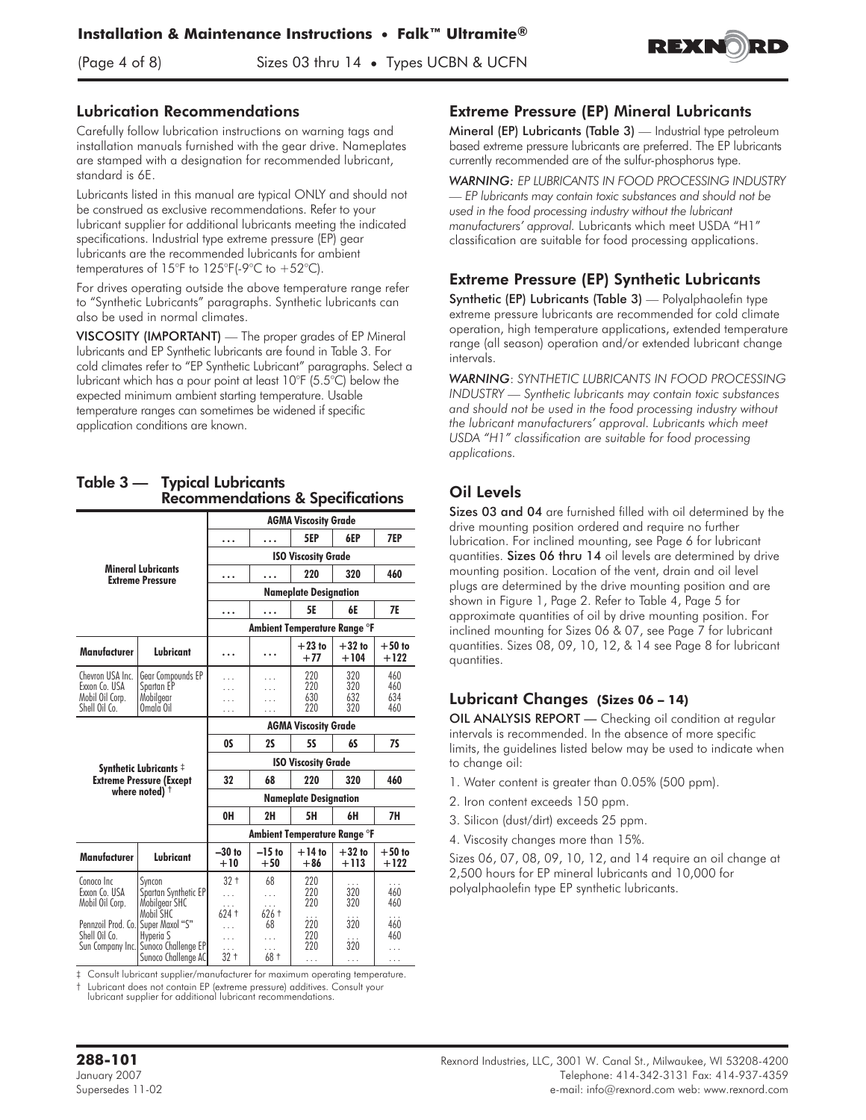(Page 4 of 8) Sizes 03 thru 14 **•** Types UCBN & UCFN



#### Lubrication Recommendations

Carefully follow lubrication instructions on warning tags and installation manuals furnished with the gear drive. Nameplates are stamped with a designation for recommended lubricant, standard is 6E.

Lubricants listed in this manual are typical ONLY and should not be construed as exclusive recommendations. Refer to your lubricant supplier for additional lubricants meeting the indicated specifications. Industrial type extreme pressure (EP) gear lubricants are the recommended lubricants for ambient temperatures of 15°F to 125°F(-9°C to  $+52$ °C).

For drives operating outside the above temperature range refer to "Synthetic Lubricants" paragraphs. Synthetic lubricants can also be used in normal climates.

VISCOSITY (IMPORTANT) — The proper grades of EP Mineral lubricants and EP Synthetic lubricants are found in Table 3. For cold climates refer to "EP Synthetic Lubricant" paragraphs. Select a lubricant which has a pour point at least 10°F (5.5°C) below the expected minimum ambient starting temperature. Usable temperature ranges can sometimes be widened if specific application conditions are known.

#### Table 3 — Typical Lubricants Recommendations & Specifications

|                                                 |                                                                                                            |                                  |                                        | <b>AGMA Viscosity Grade</b>  |                    |                    |  |  |  |  |
|-------------------------------------------------|------------------------------------------------------------------------------------------------------------|----------------------------------|----------------------------------------|------------------------------|--------------------|--------------------|--|--|--|--|
|                                                 |                                                                                                            | .                                |                                        | 5EP                          | 6EP                | 7EP                |  |  |  |  |
|                                                 |                                                                                                            | <b>ISO Viscosity Grade</b>       |                                        |                              |                    |                    |  |  |  |  |
|                                                 | <b>Mineral Lubricants</b><br><b>Extreme Pressure</b>                                                       | .                                | .                                      | 220                          | 320                | 460                |  |  |  |  |
|                                                 |                                                                                                            | <b>Nameplate Designation</b>     |                                        |                              |                    |                    |  |  |  |  |
|                                                 |                                                                                                            | .                                | <b>5E</b><br><b>7E</b><br>6E<br>.      |                              |                    |                    |  |  |  |  |
|                                                 |                                                                                                            |                                  |                                        | Ambient Temperature Range °F |                    |                    |  |  |  |  |
| Manufacturer                                    | Lubricant                                                                                                  | .                                | .                                      | $+23$ to<br>$+77$            | $+32$ to<br>$+104$ | $+50$ to<br>$+122$ |  |  |  |  |
| Chevron USA Inc.                                | Gear Compounds EP                                                                                          | .                                |                                        | 220                          | 320                | 460                |  |  |  |  |
| Exxon Co. USA<br>Mobil Oil Corp.                | Spartan EP<br>Mobilgear                                                                                    | .                                |                                        | 220<br>630                   | 320<br>632         | 460<br>634         |  |  |  |  |
| Shell Oil Co.                                   | Omala Oil                                                                                                  | .                                |                                        | 220                          | 320                | 460                |  |  |  |  |
|                                                 |                                                                                                            | <b>AGMA Viscosity Grade</b>      |                                        |                              |                    |                    |  |  |  |  |
|                                                 |                                                                                                            | <b>OS</b>                        | <b>7S</b><br>2S<br><b>5S</b><br>6S     |                              |                    |                    |  |  |  |  |
|                                                 | Synthetic Lubricants $\ddagger$                                                                            | <b>ISO Viscosity Grade</b>       |                                        |                              |                    |                    |  |  |  |  |
|                                                 | <b>Extreme Pressure (Except</b>                                                                            | 32                               | 68                                     | 220                          | 320                | 460                |  |  |  |  |
|                                                 | where noted) $\dagger$                                                                                     |                                  |                                        | <b>Nameplate Designation</b> |                    |                    |  |  |  |  |
|                                                 |                                                                                                            | 0H                               | 2H                                     | 5H                           | 6H                 | 7H                 |  |  |  |  |
|                                                 |                                                                                                            |                                  |                                        | Ambient Temperature Range °F |                    |                    |  |  |  |  |
| Manufacturer                                    | Lubricant                                                                                                  | $-30$ to<br>$+10$                | $-15$ to<br>$+50$                      | $+14$ to<br>$+86$            | $+32$ to<br>$+113$ | $+50$ to<br>$+122$ |  |  |  |  |
| Conoco Inc.<br>Exxon Co. USA<br>Mobil Oil Corp. | Svncon<br>Spartan Synthetic EP<br>Mobilgear SHC                                                            | $32 +$<br>.                      | 68<br>.<br>.                           | 220<br>220<br>220            | 320<br>320         | .<br>460<br>460    |  |  |  |  |
| Pennzoil Prod. Co.<br>Shell Oil Co.             | Mobil SHC<br>Super Maxol "S"<br>Hvperia S<br>Sun Company Inc.  Sunoco Challenge EP <br>Sunoco Challenge AC | $624 +$<br>.<br>.<br>.<br>$32 +$ | $626 +$<br>68<br>$\cdots$<br>.<br>68 + | 220<br>220<br>220<br>.       | 320<br>320<br>.    | 460<br>460<br>.    |  |  |  |  |

‡ Consult lubricant supplier/manufacturer for maximum operating temperature.

† Lubricant does not contain EP (extreme pressure) additives. Consult your lubricant supplier for additional lubricant recommendations.

#### Extreme Pressure (EP) Mineral Lubricants

Mineral (EP) Lubricants (Table 3) — Industrial type petroleum based extreme pressure lubricants are preferred. The EP lubricants currently recommended are of the sulfur-phosphorus type.

*WARNING: EP LUBRICANTS IN FOOD PROCESSING INDUSTRY — EP lubricants may contain toxic substances and should not be used in the food processing industry without the lubricant manufacturers' approval.* Lubricants which meet USDA "H1" classification are suitable for food processing applications.

## Extreme Pressure (EP) Synthetic Lubricants

Synthetic (EP) Lubricants (Table 3) — Polyalphaolefin type extreme pressure lubricants are recommended for cold climate operation, high temperature applications, extended temperature range (all season) operation and/or extended lubricant change intervals.

*WARNING*: *SYNTHETIC LUBRICANTS IN FOOD PROCESSING INDUSTRY — Synthetic lubricants may contain toxic substances and should not be used in the food processing industry without the lubricant manufacturers' approval. Lubricants which meet USDA "H1" classification are suitable for food processing applications.*

# Oil Levels

Sizes 03 and 04 are furnished filled with oil determined by the drive mounting position ordered and require no further lubrication. For inclined mounting, see Page 6 for lubricant quantities. Sizes 06 thru 14 oil levels are determined by drive mounting position. Location of the vent, drain and oil level plugs are determined by the drive mounting position and are shown in Figure 1, Page 2. Refer to Table 4, Page 5 for approximate quantities of oil by drive mounting position. For inclined mounting for Sizes 06 & 07, see Page 7 for lubricant quantities. Sizes 08, 09, 10, 12, & 14 see Page 8 for lubricant quantities.

#### Lubricant Changes **(Sizes 06 – 14)**

OIL ANALYSIS REPORT — Checking oil condition at regular intervals is recommended. In the absence of more specific limits, the guidelines listed below may be used to indicate when to change oil:

- 1. Water content is greater than 0.05% (500 ppm).
- 2. Iron content exceeds 150 ppm.
- 3. Silicon (dust/dirt) exceeds 25 ppm.
- 4. Viscosity changes more than 15%.

Sizes 06, 07, 08, 09, 10, 12, and 14 require an oil change at 2,500 hours for EP mineral lubricants and 10,000 for polyalphaolefin type EP synthetic lubricants.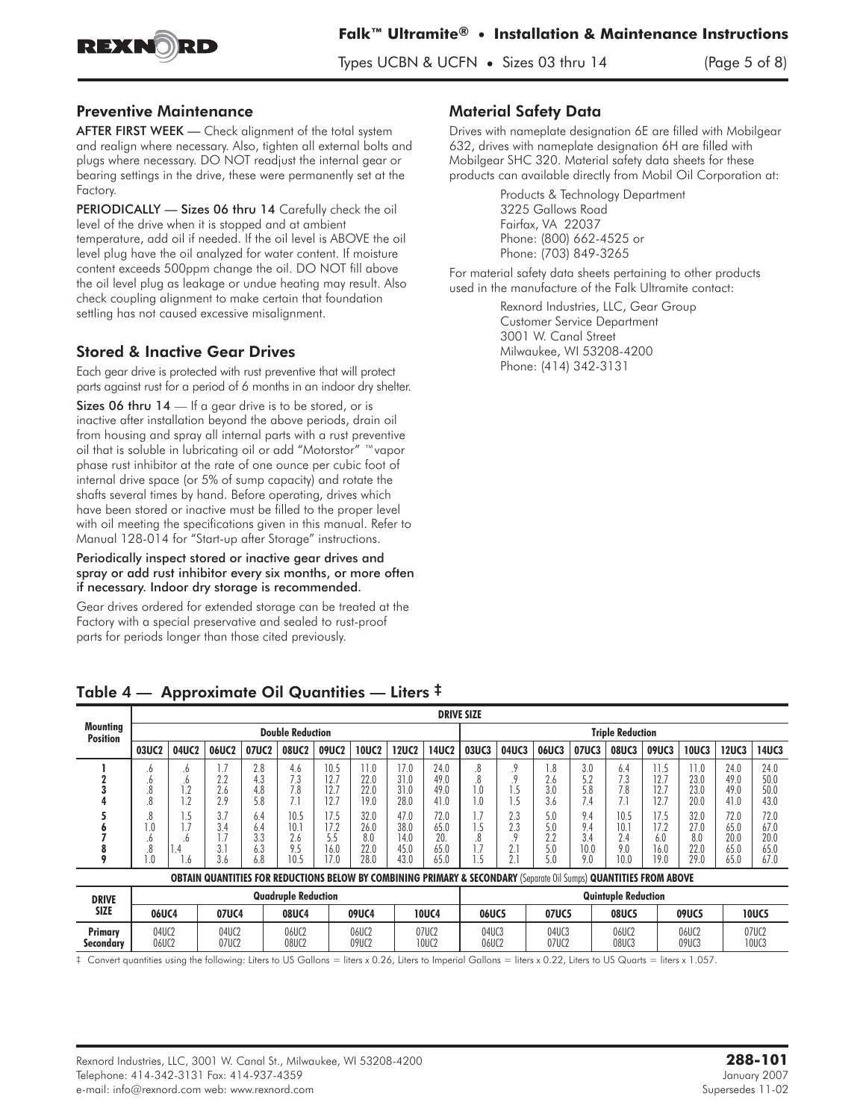

#### Preventive Maintenance

AFTER FIRST WEEK - Check alignment of the total system and realign where necessary. Also, tighten all external bolts and plugs where necessary. DO NOT readjust the internal gear or bearing settings in the drive, these were permanently set at the Factory.

PERIODICALLY - Sizes 06 thru 14 Carefully check the oil level of the drive when it is stopped and at ambient temperature, add oil if needed. If the oil level is ABOVE the oil level plug have the oil analyzed for water content. If moisture content exceeds 500ppm change the oil. DO NOT fill above the oil level plug as leakage or undue heating may result. Also check coupling alignment to make certain that foundation settling has not caused excessive misalignment.

#### Stored & Inactive Gear Drives

Each gear drive is protected with rust preventive that will protect parts against rust for a period of 6 months in an indoor dry shelter.

Sizes 06 thru 14 — If a gear drive is to be stored, or is inactive after installation beyond the above periods, drain oil from housing and spray all internal parts with a rust preventive oil that is soluble in lubricating oil or add "Motorstor" ™vapor phase rust inhibitor at the rate of one ounce per cubic foot of internal drive space (or 5% of sump capacity) and rotate the shafts several times by hand. Before operating, drives which have been stored or inactive must be filled to the proper level with oil meeting the specifications given in this manual. Refer to Manual 128-014 for "Start-up after Storage" instructions.

#### Periodically inspect stored or inactive gear drives and spray or add rust inhibitor every six months, or more often if necessary. Indoor dry storage is recommended.

Gear drives ordered for extended storage can be treated at the Factory with a special preservative and sealed to rust-proof parts for periods longer than those cited previously.

#### Material Safety Data

Drives with nameplate designation 6E are filled with Mobilgear 632, drives with nameplate designation 6H are filled with Mobilgear SHC 320. Material safety data sheets for these products can available directly from Mobil Oil Corporation at:

> Products & Technology Department 3225 Gallows Road Fairfax, VA 22037 Phone: (800) 662-4525 or Phone: (703) 849-3265

For material safety data sheets pertaining to other products used in the manufacture of the Falk Ultramite contact:

> Rexnord Industries, LLC, Gear Group Customer Service Department 3001 W. Canal Street Milwaukee, WI 53208-4200 Phone: (414) 342-3131

|                                    |                                                 |                                      |                                                                                                                               |                                               |                                                 |                                                     |                                                     |                                                      | <b>DRIVE SIZE</b>                                   |                                            |                                     |                                               |                                               |                                                 |                                                     |                                                     |                                                      |                                                      |
|------------------------------------|-------------------------------------------------|--------------------------------------|-------------------------------------------------------------------------------------------------------------------------------|-----------------------------------------------|-------------------------------------------------|-----------------------------------------------------|-----------------------------------------------------|------------------------------------------------------|-----------------------------------------------------|--------------------------------------------|-------------------------------------|-----------------------------------------------|-----------------------------------------------|-------------------------------------------------|-----------------------------------------------------|-----------------------------------------------------|------------------------------------------------------|------------------------------------------------------|
| <b>Mounting</b><br><b>Position</b> | <b>Double Reduction</b>                         |                                      |                                                                                                                               |                                               |                                                 |                                                     |                                                     | <b>Triple Reduction</b>                              |                                                     |                                            |                                     |                                               |                                               |                                                 |                                                     |                                                     |                                                      |                                                      |
|                                    | 03UC <sub>2</sub>                               | 04UC2                                | 06UC2                                                                                                                         | 07UC2                                         | <b>08UC2</b>                                    | 09UC2                                               | <b>10UC2</b>                                        | 12UC2                                                | 14UC <sub>2</sub>                                   | 03UC3                                      | 04UC3                               | 06UC3                                         | 07UC3                                         | <b>08UC3</b>                                    | 09UC3                                               | <b>10UC3</b>                                        | <b>12UC3</b>                                         | <b>14UC3</b>                                         |
|                                    | .6<br>.6<br>.ŏ<br>.8<br>.8<br>$0_{\cdot}$<br>.0 | .0<br>.o<br>۱.Z<br>1.2<br>1.5<br>. 0 | 2.2<br>2.6<br>2.9<br>3.7<br>3.4<br>1.7                                                                                        | 2.8<br>4.3<br>4.8<br>5.8<br>6.4<br>6.4<br>3.3 | 4.6<br>7.3<br>7.8<br>7.1<br>10.5<br>10.1<br>2.6 | 10.5<br>12.7<br>12.7<br>12.7<br>17.5<br>17.2<br>5.5 | 11.0<br>22.0<br>22.0<br>19.0<br>32.0<br>26.0<br>8.0 | 17.0<br>31.0<br>31.0<br>28.0<br>47.0<br>38.0<br>14.0 | 24.0<br>49.0<br>49.0<br>41.0<br>72.0<br>65.0<br>20. | 8.<br>8.<br>1.0<br>1.0<br>1.7<br>1.5<br>.8 | .9<br>1.5<br>1.5<br>2.3<br>2.3<br>Q | . 8<br>2.6<br>3.0<br>3.6<br>5.0<br>5.0<br>2.2 | 3.0<br>5.2<br>5.8<br>7.4<br>9.4<br>9.4<br>3.4 | 6.4<br>7.3<br>7.8<br>7.1<br>10.5<br>10.1<br>2.4 | 11.5<br>12.7<br>12.7<br>12.7<br>17.5<br>17.2<br>6.0 | 11.0<br>23.0<br>23.0<br>20.0<br>32.0<br>27.0<br>8.0 | 24.0<br>49.0<br>49.0<br>41.0<br>72.0<br>65.0<br>20.0 | 24.0<br>50.0<br>50.0<br>43.0<br>72.0<br>67.0<br>20.0 |
| ō                                  | .8<br>$0$ .                                     | . .4<br>b                            | 3.1<br>3.6                                                                                                                    | 6.3<br>6.8                                    | 9.5<br>10.5                                     | 16.0<br>17.0                                        | 22.0<br>28.0                                        | 45.0<br>43.0                                         | 65.0<br>65.0                                        | 1.7<br>l.5                                 | 2.1<br>2.1                          | 5.0<br>5.0                                    | 10.0<br>9.0                                   | 9.0<br>10.0                                     | 16.0<br>19.0                                        | 22.0<br>29.0                                        | 65.0<br>65.0                                         | 65.0<br>67.0                                         |
|                                    |                                                 |                                      | <b>OBTAIN QUANTITIES FOR REDUCTIONS BELOW BY COMBINING PRIMARY &amp; SECONDARY (Separate Oil Sumps) QUANTITIES FROM ABOVE</b> |                                               |                                                 |                                                     |                                                     |                                                      |                                                     |                                            |                                     |                                               |                                               |                                                 |                                                     |                                                     |                                                      |                                                      |
| <b>DRIVE</b>                       |                                                 |                                      |                                                                                                                               |                                               | <b>Quadruple Reduction</b>                      |                                                     |                                                     |                                                      |                                                     |                                            |                                     |                                               |                                               | <b>Quintuple Reduction</b>                      |                                                     |                                                     |                                                      |                                                      |
| <b>SIZE</b>                        | 06UC4                                           |                                      | 07UC4                                                                                                                         |                                               | 08UC4                                           |                                                     | 09UC4                                               |                                                      | <b>10UC4</b>                                        | <b>06UC5</b>                               |                                     | 07UC5                                         |                                               | <b>08UC5</b>                                    |                                                     | 09UC5                                               |                                                      | <b>10UC5</b>                                         |
| Primary                            | 04UC2                                           |                                      | 04UC2                                                                                                                         |                                               | 06UC2                                           |                                                     | 06UC2                                               |                                                      | 07UC2                                               | 04UC3                                      |                                     | 04UC3                                         |                                               | 06UC2                                           |                                                     | 06UC2                                               |                                                      | 07UC2                                                |

#### Table 4 — Approximate Oil Quantities — Liters ‡

‡ Convert quantities using the following: Liters to US Gallons = liters x 0.26, Liters to Imperial Gallons = liters x 0.22, Liters to US Quarts = liters x 1.057.

**Secondary |** 06UC2 | 07UC2 | 08UC2 | 09UC2 | 10UC2 | 06UC2 | 07UC2 | 08UC3 | 09UC3 | 10UC3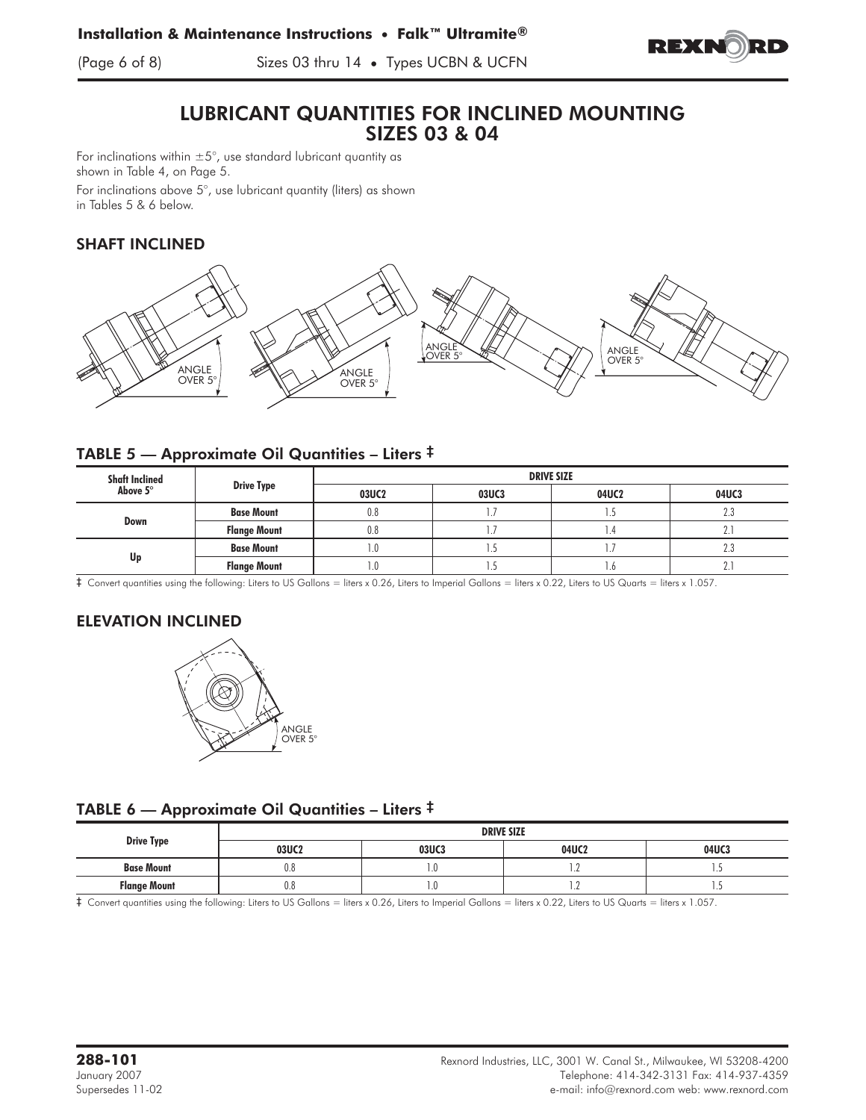

(Page 6 of 8) Sizes 03 thru 14 **•** Types UCBN & UCFN

# LUBRICANT QUANTITIES FOR INCLINED MOUNTING SIZES 03 & 04

For inclinations within  $\pm 5^{\circ}$ , use standard lubricant quantity as shown in Table 4, on Page 5.

For inclinations above 5°, use lubricant quantity (liters) as shown in Tables 5 & 6 below.

## SHAFT INCLINED



#### TABLE 5 — Approximate Oil Quantities – Liters ‡

| <b>Shaft Inclined</b> |                     | <b>DRIVE SIZE</b> |              |       |       |  |  |  |  |
|-----------------------|---------------------|-------------------|--------------|-------|-------|--|--|--|--|
| Above 5°              | <b>Drive Type</b>   | 03UC2             | <b>03UC3</b> | 04UC2 | 04UC3 |  |  |  |  |
|                       | <b>Base Mount</b>   | 0.8               |              |       | 2.3   |  |  |  |  |
| Down                  | <b>Flange Mount</b> | 0.8               |              |       | L.    |  |  |  |  |
| Up                    | <b>Base Mount</b>   | .0                |              |       | 2.3   |  |  |  |  |
|                       | <b>Flange Mount</b> | .0                |              | ۱.٥   | L.    |  |  |  |  |

‡ Convert quantities using the following: Liters to US Gallons = liters x 0.26, Liters to Imperial Gallons = liters x 0.22, Liters to US Quarts = liters x 1.057.

# ELEVATION INCLINED



TABLE 6 — Approximate Oil Quantities – Liters ‡

|                     | <b>DRIVE SIZE</b> |              |          |       |  |  |  |  |  |  |
|---------------------|-------------------|--------------|----------|-------|--|--|--|--|--|--|
| <b>Drive Type</b>   | 03UC2             | <b>03UC3</b> | 04UC2    | 04UC3 |  |  |  |  |  |  |
| <b>Base Mount</b>   | 0.8               | $0_{\cdot}$  | $\cdots$ | .     |  |  |  |  |  |  |
| <b>Flange Mount</b> | $0.8\,$           | 1.0          | $\cdot$  |       |  |  |  |  |  |  |

‡ Convert quantities using the following: Liters to US Gallons = liters x 0.26, Liters to Imperial Gallons = liters x 0.22, Liters to US Quarts = liters x 1.057.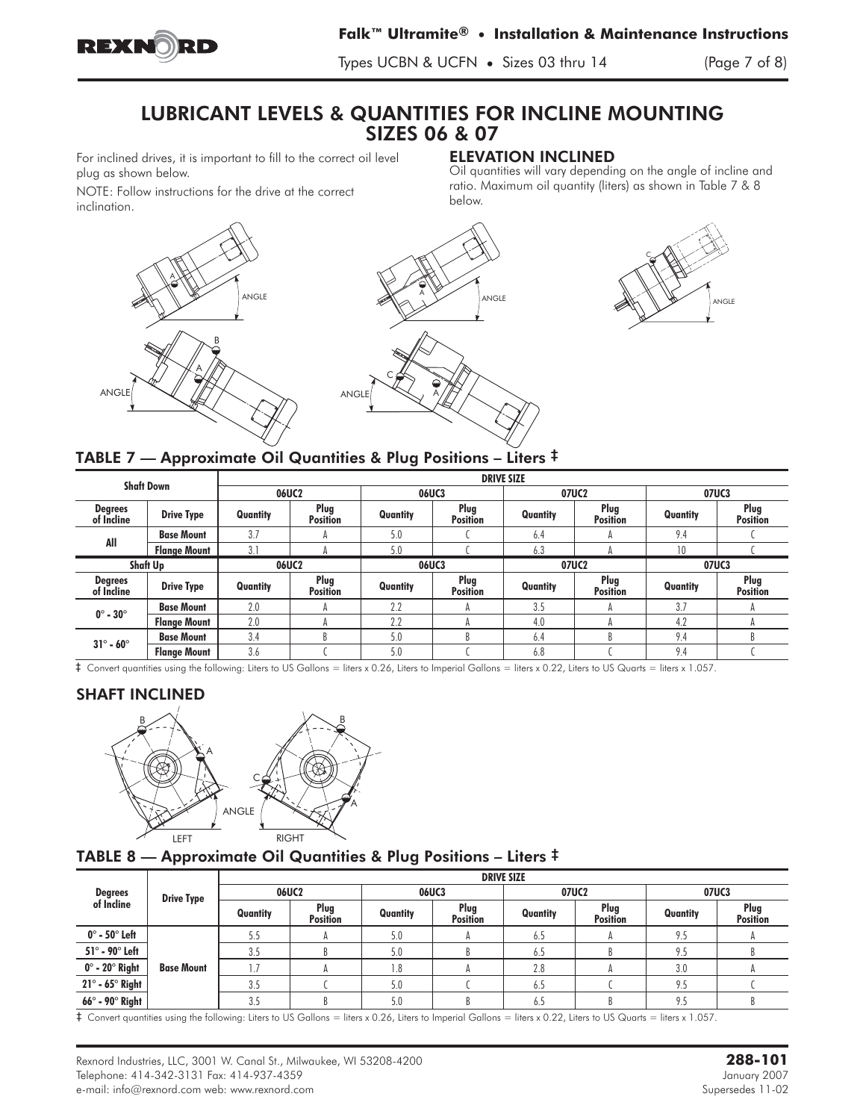

Types UCBN & UCFN **•** Sizes 03 thru 14 (Page 7 of 8)

# LUBRICANT LEVELS & QUANTITIES FOR INCLINE MOUNTING SIZES 06 & 07

For inclined drives, it is important to fill to the correct oil level plug as shown below.

# ELEVATION INCLINED

NOTE: Follow instructions for the drive at the correct inclination.

Oil quantities will vary depending on the angle of incline and ratio. Maximum oil quantity (liters) as shown in Table 7 & 8 below.





# TABLE 7 — Approximate Oil Quantities & Plug Positions – Liters ‡

|                              |                     |          |                         |              | <b>DRIVE SIZE</b>       |          |                         |              |                         |  |
|------------------------------|---------------------|----------|-------------------------|--------------|-------------------------|----------|-------------------------|--------------|-------------------------|--|
| <b>Shaft Down</b>            |                     | 06UC2    |                         | <b>06UC3</b> |                         | 07UC2    |                         | <b>07UC3</b> |                         |  |
| <b>Degrees</b><br>of Incline | <b>Drive Type</b>   | Quantity | Plug<br><b>Position</b> | Quantity     | Plug<br><b>Position</b> | Quantity | Plug<br><b>Position</b> | Quantity     | Plug<br><b>Position</b> |  |
| All                          | <b>Base Mount</b>   | 3.7      | А                       | 5.0          |                         | 6.4      |                         | 9.4          |                         |  |
|                              | <b>Flange Mount</b> | 3.1      |                         | 5.0          |                         | 6.3      |                         | 10           |                         |  |
|                              | Shaft Up            |          | 06UC2                   |              | <b>06UC3</b>            |          | 07UC2                   |              | 07UC3                   |  |
| <b>Degrees</b><br>of Incline | <b>Drive Type</b>   | Quantity | Plug<br><b>Position</b> | Quantity     | Plug<br><b>Position</b> | Quantity | Plug<br><b>Position</b> | Quantity     | Plug<br><b>Position</b> |  |
| $0^\circ$ - $30^\circ$       | <b>Base Mount</b>   | 2.0      | А                       | 2.2          |                         | 3.5      |                         | 3.7          |                         |  |
|                              | <b>Flange Mount</b> | 2.0      | А                       | 2.2          |                         | 4.0      |                         | 4.2          |                         |  |
| $31^\circ$ - 60 $^\circ$     | <b>Base Mount</b>   | 3.4      |                         | 5.0          |                         | 6.4      |                         | 9.4          |                         |  |
|                              | <b>Flange Mount</b> | 3.6      |                         | 5.0          |                         | 6.8      |                         | 9.4          |                         |  |

‡ Convert quantities using the following: Liters to US Gallons = liters x 0.26, Liters to Imperial Gallons = liters x 0.22, Liters to US Quarts = liters x 1.057.

#### SHAFT INCLINED



# TABLE 8 — Approximate Oil Quantities & Plug Positions – Liters  $^\ddag$

|                                |                   | <b>DRIVE SIZE</b> |                         |          |                         |          |                         |          |                         |  |  |  |
|--------------------------------|-------------------|-------------------|-------------------------|----------|-------------------------|----------|-------------------------|----------|-------------------------|--|--|--|
| <b>Degrees</b>                 | <b>Drive Type</b> | 06UC2             |                         |          | 06UC3                   | 07UC2    |                         | 07UC3    |                         |  |  |  |
| of Incline                     |                   | Quantity          | Plug<br><b>Position</b> | Quantity | Plug<br><b>Position</b> | Quantity | Plug<br><b>Position</b> | Quantity | Plug<br><b>Position</b> |  |  |  |
| $0^\circ$ - 50 $^\circ$ Left   |                   | 5.5               | н                       | 5.0      |                         | 6.5      |                         | 9.5      |                         |  |  |  |
| $51^\circ$ - 90 $^\circ$ Left  |                   | 3.5               |                         | 5.0      |                         | 6.5      |                         | 9.5      |                         |  |  |  |
| $0^\circ$ - 20 $^\circ$ Right  | <b>Base Mount</b> |                   |                         |          |                         | 2.8      |                         | 3.0      |                         |  |  |  |
| $21^\circ$ - 65 $^\circ$ Right |                   | 3.5               |                         | 5.0      |                         | 6.5      |                         | 9.5      |                         |  |  |  |
| $66^\circ$ - 90 $^\circ$ Right |                   | 3.5               | D                       | 5.0      |                         | 6.5      |                         | 9.5      |                         |  |  |  |

‡ Convert quantities using the following: Liters to US Gallons = liters x 0.26, Liters to Imperial Gallons = liters x 0.22, Liters to US Quarts = liters x 1.057.